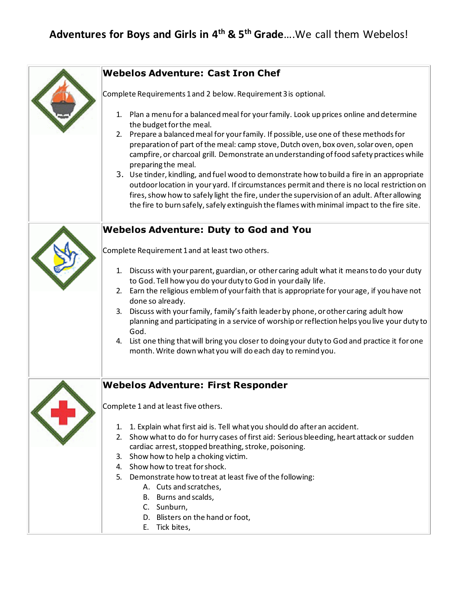## **Adventures for Boys and Girls in 4th & 5th Grade**….We call them Webelos!

| <b>Webelos Adventure: Cast Iron Chef</b>                                                                                                                                                                                                                                                                                                                                                       |
|------------------------------------------------------------------------------------------------------------------------------------------------------------------------------------------------------------------------------------------------------------------------------------------------------------------------------------------------------------------------------------------------|
| Complete Requirements 1 and 2 below. Requirement 3 is optional.                                                                                                                                                                                                                                                                                                                                |
| 1. Plan a menu for a balanced meal for your family. Look up prices online and determine<br>the budget for the meal.                                                                                                                                                                                                                                                                            |
| 2. Prepare a balanced meal for your family. If possible, use one of these methods for<br>preparation of part of the meal: camp stove, Dutch oven, box oven, solar oven, open<br>campfire, or charcoal grill. Demonstrate an understanding of food safety practices while<br>preparing the meal.<br>3. Use tinder, kindling, and fuel wood to demonstrate how to build a fire in an appropriate |
| outdoor location in your yard. If circumstances permit and there is no local restriction on<br>fires, show how to safely light the fire, under the supervision of an adult. After allowing<br>the fire to burn safely, safely extinguish the flames with minimal impact to the fire site.                                                                                                      |
| <b>Webelos Adventure: Duty to God and You</b>                                                                                                                                                                                                                                                                                                                                                  |
| Complete Requirement 1 and at least two others.                                                                                                                                                                                                                                                                                                                                                |
| 1. Discuss with your parent, guardian, or other caring adult what it means to do your duty<br>to God. Tell how you do your duty to God in your daily life.                                                                                                                                                                                                                                     |
| 2. Earn the religious emblem of your faith that is appropriate for your age, if you have not<br>done so already.                                                                                                                                                                                                                                                                               |
| 3. Discuss with your family, family's faith leader by phone, or other caring adult how<br>planning and participating in a service of worship or reflection helps you live your duty to<br>God.                                                                                                                                                                                                 |
| 4. List one thing that will bring you closer to doing your duty to God and practice it for one<br>month. Write down what you will do each day to remind you.                                                                                                                                                                                                                                   |
| <b>Webelos Adventure: First Responder</b>                                                                                                                                                                                                                                                                                                                                                      |
| Complete 1 and at least five others.                                                                                                                                                                                                                                                                                                                                                           |
| 1. 1. Explain what first aid is. Tell what you should do after an accident.<br>2. Show what to do for hurry cases of first aid: Serious bleeding, heart attack or sudden<br>cardiac arrest, stopped breathing, stroke, poisoning.                                                                                                                                                              |
| 3. Show how to help a choking victim.                                                                                                                                                                                                                                                                                                                                                          |
| 4. Show how to treat for shock.<br>5. Demonstrate how to treat at least five of the following:                                                                                                                                                                                                                                                                                                 |
| A. Cuts and scratches,                                                                                                                                                                                                                                                                                                                                                                         |
| B. Burns and scalds,                                                                                                                                                                                                                                                                                                                                                                           |
| C. Sunburn,                                                                                                                                                                                                                                                                                                                                                                                    |
| D. Blisters on the hand or foot,                                                                                                                                                                                                                                                                                                                                                               |
| E. Tick bites,                                                                                                                                                                                                                                                                                                                                                                                 |